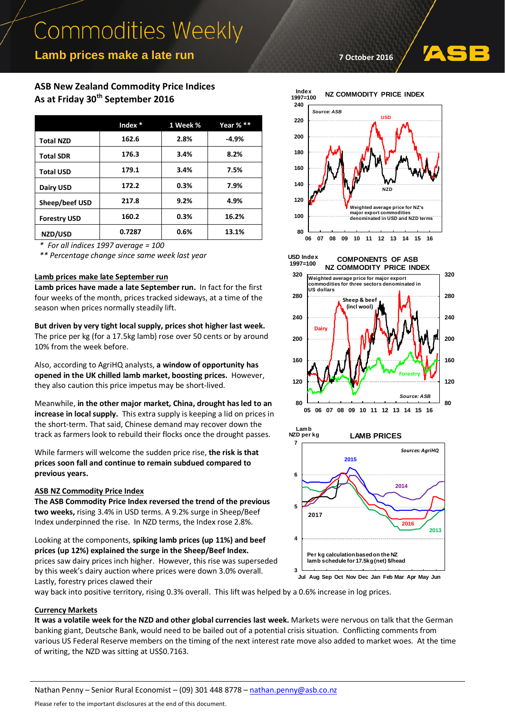# **Commodities Weekly**

## **Lamb prices make a late run**

## **ASB New Zealand Commodity Price Indices As at Friday 30th September 2016**

|                     | .Index $*$ | 1 Week % | Year $%**$ |
|---------------------|------------|----------|------------|
| <b>Total NZD</b>    | 162.6      | 2.8%     | $-4.9%$    |
| <b>Total SDR</b>    | 176.3      | 3.4%     | 8.2%       |
| <b>Total USD</b>    | 179.1      | 3.4%     | 7.5%       |
| Dairy USD           | 172.2      | 0.3%     | 7.9%       |
| Sheep/beef USD      | 217.8      | 9.2%     | 4.9%       |
| <b>Forestry USD</b> | 160.2      | 0.3%     | 16.2%      |
| NZD/USD             | 0.7287     | 0.6%     | 13.1%      |

*\* For all indices 1997 average = 100*

*\*\* Percentage change since same week last year*

### **Lamb prices make late September run**

**Lamb prices have made a late September run.** In fact for the first four weeks of the month, prices tracked sideways, at a time of the season when prices normally steadily lift.

**But driven by very tight local supply, prices shot higher last week.** The price per kg (for a 17.5kg lamb) rose over 50 cents or by around 10% from the week before.

Also, according to AgriHQ analysts, **a window of opportunity has opened in the UK chilled lamb market, boosting prices.** However, they also caution this price impetus may be short-lived.

Meanwhile, **in the other major market, China, drought has led to an increase in local supply.** This extra supply is keeping a lid on prices in the short-term. That said, Chinese demand may recover down the track as farmers look to rebuild their flocks once the drought passes.

While farmers will welcome the sudden price rise, **the risk is that prices soon fall and continue to remain subdued compared to previous years.**

### **ASB NZ Commodity Price Index**

**The ASB Commodity Price Index reversed the trend of the previous two weeks,** rising 3.4% in USD terms. A 9.2% surge in Sheep/Beef Index underpinned the rise. In NZD terms, the Index rose 2.8%.

Looking at the components, **spiking lamb prices (up 11%) and beef prices (up 12%) explained the surge in the Sheep/Beef Index.**

prices saw dairy prices inch higher. However, this rise was superseded by this week's dairy auction where prices were down 3.0% overall. Lastly, forestry prices clawed their

**7 October 2016**





**80**

*Source: ASB*



**05 06 07 08 09 10 11 12 13 14 15 16**

way back into positive territory, rising 0.3% overall. This lift was helped by a 0.6% increase in log prices.

#### **Currency Markets**

**It was a volatile week for the NZD and other global currencies last week.** Markets were nervous on talk that the German banking giant, Deutsche Bank, would need to be bailed out of a potential crisis situation. Conflicting comments from various US Federal Reserve members on the timing of the next interest rate move also added to market woes. At the time of writing, the NZD was sitting at US\$0.7163.

**80**

Please refer to the important disclosures at the end of this document.